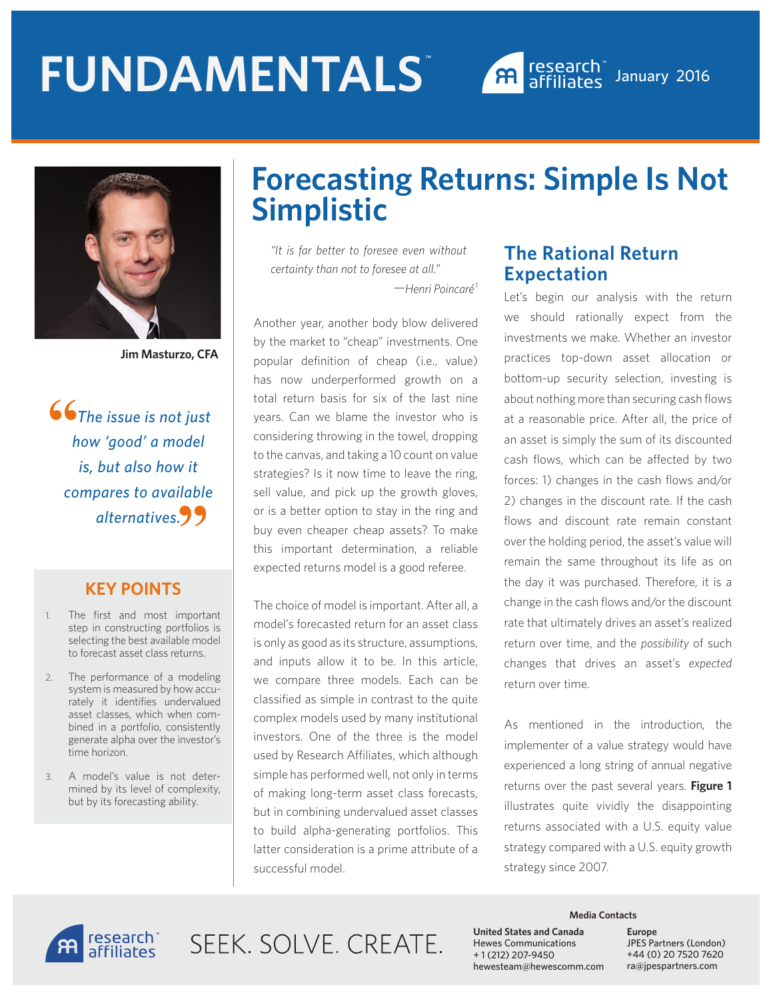



**Jim Masturzo, CFA**

 *The issue is not just how 'good' a model is, but also how it compares to available alternatives.* **""**

#### **KEY POINTS**

- 1. The first and most important step in constructing portfolios is selecting the best available model to forecast asset class returns.
- 2. The performance of a modeling system is measured by how accurately it identifies undervalued asset classes, which when combined in a portfolio, consistently generate alpha over the investor's time horizon.
- 3. A model's value is not determined by its level of complexity, but by its forecasting ability.

## **Forecasting Returns: Simple Is Not Simplistic**

*"It is far better to foresee even without certainty than not to foresee at all."*  —*Henri Poincaré*<sup>1</sup>

Another year, another body blow delivered by the market to "cheap" investments. One popular definition of cheap (i.e., value) has now underperformed growth on a total return basis for six of the last nine years. Can we blame the investor who is considering throwing in the towel, dropping to the canvas, and taking a 10 count on value strategies? Is it now time to leave the ring, sell value, and pick up the growth gloves, or is a better option to stay in the ring and buy even cheaper cheap assets? To make this important determination, a reliable expected returns model is a good referee.

The choice of model is important. After all, a model's forecasted return for an asset class is only as good as its structure, assumptions, and inputs allow it to be. In this article, we compare three models. Each can be classified as simple in contrast to the quite complex models used by many institutional investors. One of the three is the model used by Research Affiliates, which although simple has performed well, not only in terms of making long-term asset class forecasts, but in combining undervalued asset classes to build alpha-generating portfolios. This latter consideration is a prime attribute of a successful model.

#### **The Rational Return Expectation**

Let's begin our analysis with the return we should rationally expect from the investments we make. Whether an investor practices top-down asset allocation or bottom-up security selection, investing is about nothing more than securing cash flows at a reasonable price. After all, the price of an asset is simply the sum of its discounted cash flows, which can be affected by two forces: 1) changes in the cash flows and/or 2) changes in the discount rate. If the cash flows and discount rate remain constant over the holding period, the asset's value will remain the same throughout its life as on the day it was purchased. Therefore, it is a change in the cash flows and/or the discount rate that ultimately drives an asset's realized return over time, and the *possibility* of such changes that drives an asset's *expected* return over time.

As mentioned in the introduction, the implementer of a value strategy would have experienced a long string of annual negative returns over the past several years. **Figure 1** illustrates quite vividly the disappointing returns associated with a U.S. equity value strategy compared with a U.S. equity growth strategy since 2007.



SFFK SOLVE CREATE.

**Media Contacts**

**United States and Canada**  Hewes Communications + 1 (212) 207-9450 hewesteam@hewescomm.com **Europe** JPES Partners (London) +44 (0) 20 7520 7620 ra@jpespartners.com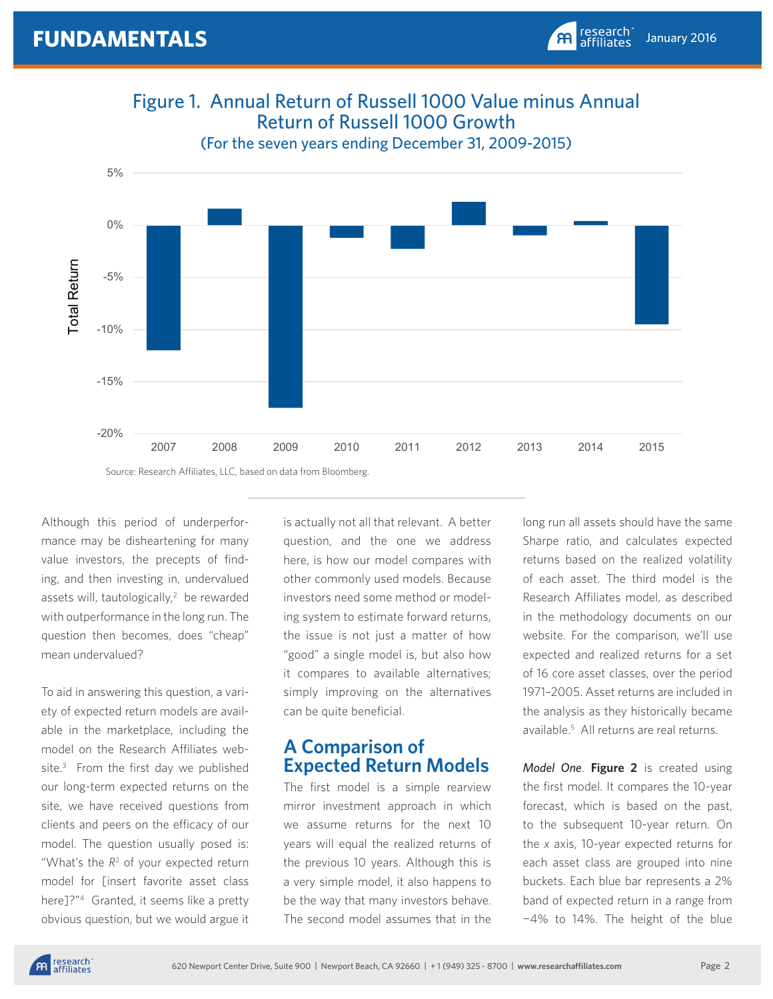

Figure 1. Annual Return of Russell 1000 Value minus Annual Return of Russell 1000 Growth

Although this period of underperformance may be disheartening for many value investors, the precepts of finding, and then investing in, undervalued assets will, tautologically,<sup>2</sup> be rewarded with outperformance in the long run. The question then becomes, does "cheap" mean undervalued?

To aid in answering this question, a variety of expected return models are available in the marketplace, including the model on the Research Affiliates website.<sup>3</sup> From the first day we published our long-term expected returns on the site, we have received questions from clients and peers on the efficacy of our model. The question usually posed is: "What's the  $R<sup>2</sup>$  of your expected return model for [insert favorite asset class here]?"4 Granted, it seems like a pretty obvious question, but we would argue it

is actually not all that relevant. A better question, and the one we address here, is how our model compares with other commonly used models. Because investors need some method or modeling system to estimate forward returns, the issue is not just a matter of how "good" a single model is, but also how it compares to available alternatives; simply improving on the alternatives can be quite beneficial.

#### **A Comparison of Expected Return Models**

The first model is a simple rearview mirror investment approach in which we assume returns for the next 10 years will equal the realized returns of the previous 10 years. Although this is a very simple model, it also happens to be the way that many investors behave. The second model assumes that in the long run all assets should have the same Sharpe ratio, and calculates expected returns based on the realized volatility of each asset. The third model is the Research Affiliates model, as described in the methodology documents on our website. For the comparison, we'll use expected and realized returns for a set of 16 core asset classes, over the period 1971–2005. Asset returns are included in the analysis as they historically became available.5 All returns are real returns.

January 2016

research<br>affiliates

 $\mathbf{A}$ 

*Model One*. **Figure 2** is created using the first model. It compares the 10-year forecast, which is based on the past, to the subsequent 10-year return. On the *x* axis, 10-year expected returns for each asset class are grouped into nine buckets. Each blue bar represents a 2% band of expected return in a range from −4% to 14%. The height of the blue

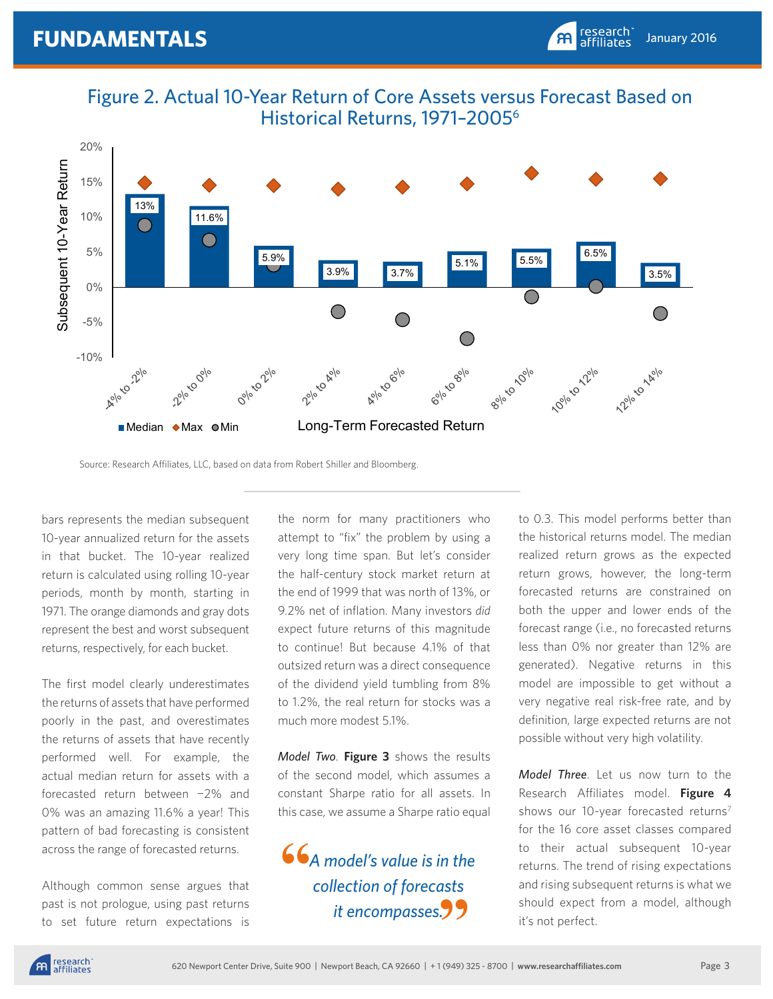Figure 2. Actual 10-Year Return of Core Assets versus Forecast Based on Historical Returns, 1971–20056



Source: Research Affiliates, LLC, based on data from Robert Shiller and Bloomberg.

bars represents the median subsequent 10-year annualized return for the assets in that bucket. The 10-year realized return is calculated using rolling 10-year periods, month by month, starting in 1971. The orange diamonds and gray dots represent the best and worst subsequent returns, respectively, for each bucket.

The first model clearly underestimates the returns of assets that have performed poorly in the past, and overestimates the returns of assets that have recently performed well. For example, the actual median return for assets with a forecasted return between −2% and 0% was an amazing 11.6% a year! This pattern of bad forecasting is consistent across the range of forecasted returns.

Although common sense argues that past is not prologue, using past returns to set future return expectations is the norm for many practitioners who attempt to "fix" the problem by using a very long time span. But let's consider the half-century stock market return at the end of 1999 that was north of 13%, or 9.2% net of inflation. Many investors *did*  expect future returns of this magnitude to continue! But because 4.1% of that outsized return was a direct consequence of the dividend yield tumbling from 8% to 1.2%, the real return for stocks was a much more modest 5.1%.

*Model Two*. **Figure 3** shows the results of the second model, which assumes a constant Sharpe ratio for all assets. In this case, we assume a Sharpe ratio equal

 *A model's value is in the collection of forecasts it encompasses.* **" "**

to 0.3. This model performs better than the historical returns model. The median realized return grows as the expected return grows, however, the long-term forecasted returns are constrained on both the upper and lower ends of the forecast range (i.e., no forecasted returns less than 0% nor greater than 12% are generated). Negative returns in this model are impossible to get without a very negative real risk-free rate, and by definition, large expected returns are not possible without very high volatility.

January 2016

research<br>affiliates

 $\mathbf{A}$ 

*Model Three*. Let us now turn to the Research Affiliates model. **Figure 4** shows our 10-year forecasted returns<sup>7</sup> for the 16 core asset classes compared to their actual subsequent 10-year returns. The trend of rising expectations and rising subsequent returns is what we should expect from a model, although it's not perfect.

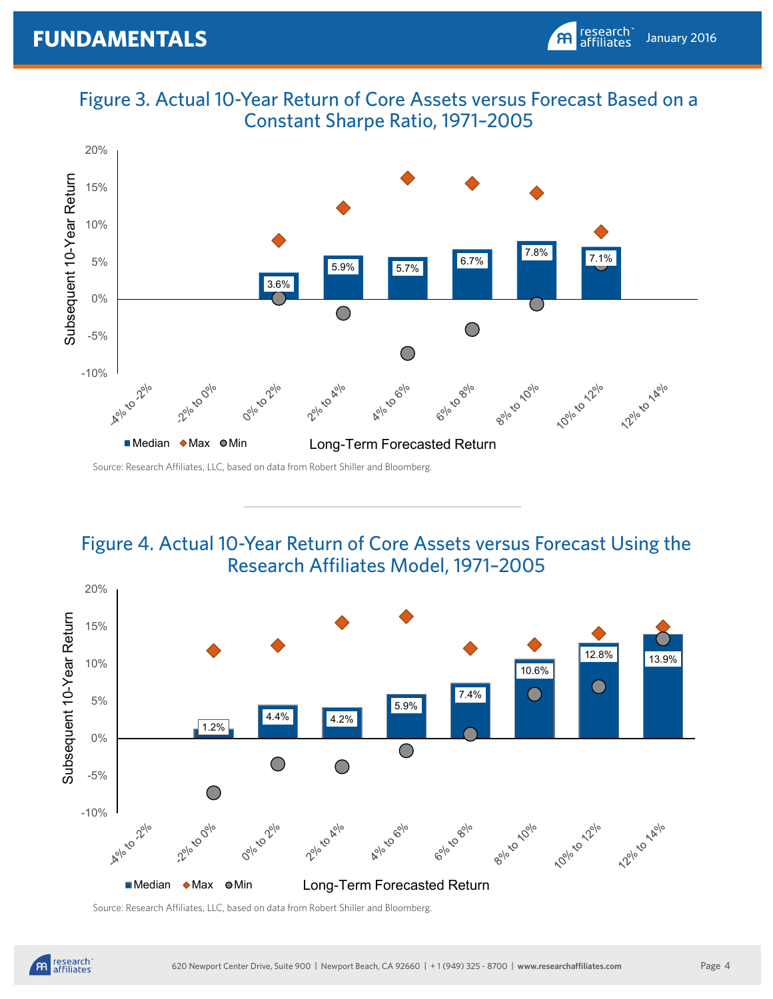Figure 3. Actual 10-Year Return of Core Assets versus Forecast Based on a Constant Sharpe Ratio, 1971–2005



Source: Research Affiliates, LLC, based on data from Robert Shiller and Bloomberg.

### Figure 4. Actual 10-Year Return of Core Assets versus Forecast Using the Research Affiliates Model, 1971–2005



Source: Research Affiliates, LLC, based on data from Robert Shiller and Bloomberg.

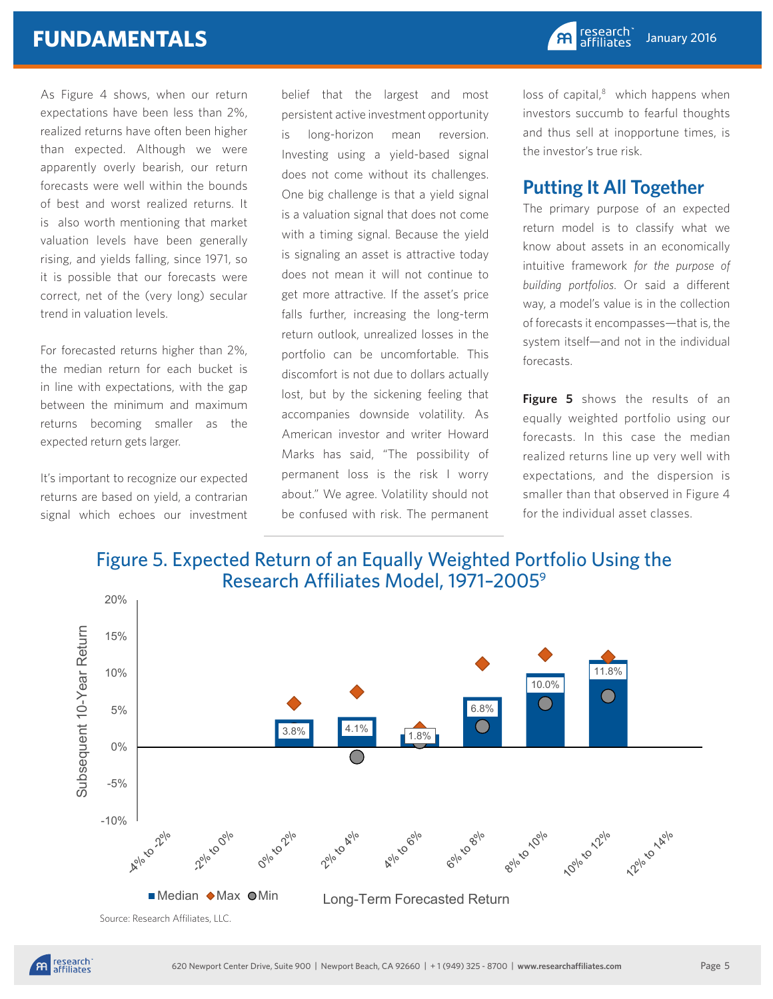As Figure 4 shows, when our return expectations have been less than 2%, realized returns have often been higher than expected. Although we were apparently overly bearish, our return forecasts were well within the bounds of best and worst realized returns. It is also worth mentioning that market valuation levels have been generally rising, and yields falling, since 1971, so it is possible that our forecasts were correct, net of the (very long) secular trend in valuation levels.

For forecasted returns higher than 2%, the median return for each bucket is in line with expectations, with the gap between the minimum and maximum returns becoming smaller as the expected return gets larger.

It's important to recognize our expected returns are based on yield, a contrarian signal which echoes our investment belief that the largest and most persistent active investment opportunity is long-horizon mean reversion. Investing using a yield-based signal does not come without its challenges. One big challenge is that a yield signal is a valuation signal that does not come with a timing signal. Because the yield is signaling an asset is attractive today does not mean it will not continue to get more attractive. If the asset's price falls further, increasing the long-term return outlook, unrealized losses in the portfolio can be uncomfortable. This discomfort is not due to dollars actually lost, but by the sickening feeling that accompanies downside volatility. As American investor and writer Howard Marks has said, "The possibility of permanent loss is the risk I worry about." We agree. Volatility should not be confused with risk. The permanent loss of capital, $8$  which happens when investors succumb to fearful thoughts and thus sell at inopportune times, is the investor's true risk.

#### **Putting It All Together**

The primary purpose of an expected return model is to classify what we know about assets in an economically intuitive framework *for the purpose of building portfolios*. Or said a different way, a model's value is in the collection of forecasts it encompasses—that is, the system itself—and not in the individual forecasts.

**Figure 5** shows the results of an equally weighted portfolio using our forecasts. In this case the median realized returns line up very well with expectations, and the dispersion is smaller than that observed in Figure 4 for the individual asset classes.



Source: Research Affiliates, LLC.

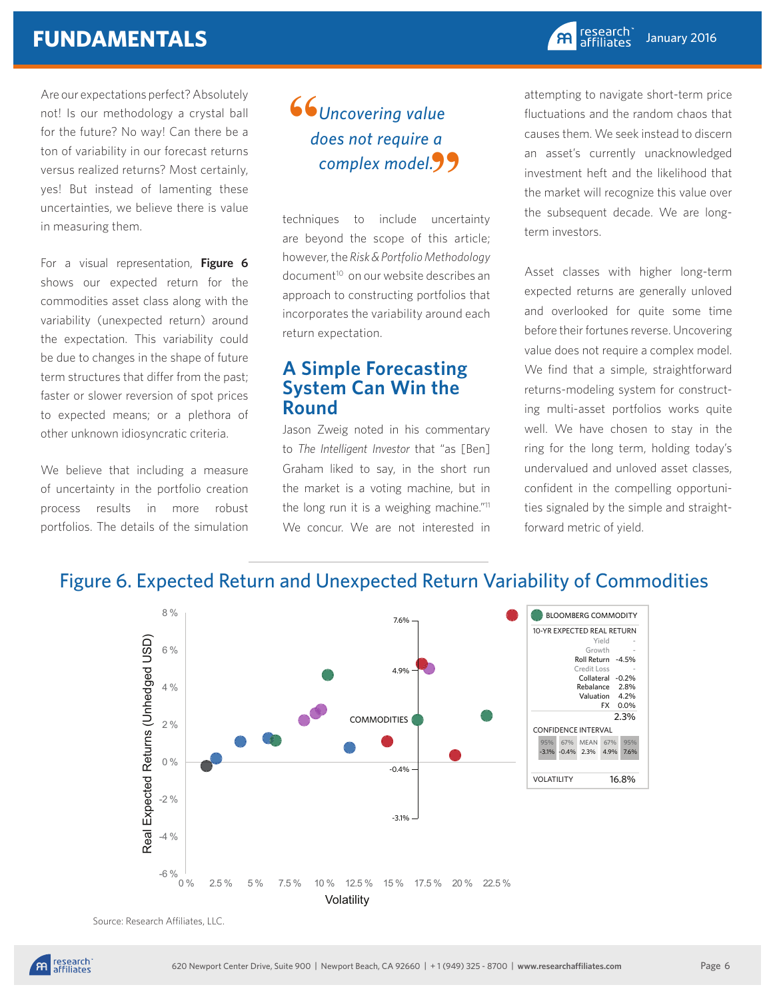Are our expectations perfect? Absolutely not! Is our methodology a crystal ball for the future? No way! Can there be a ton of variability in our forecast returns versus realized returns? Most certainly, yes! But instead of lamenting these uncertainties, we believe there is value in measuring them.

For a visual representation, **Figure 6**  shows our expected return for the commodities asset class along with the variability (unexpected return) around the expectation. This variability could be due to changes in the shape of future term structures that differ from the past; faster or slower reversion of spot prices to expected means; or a plethora of other unknown idiosyncratic criteria.

We believe that including a measure of uncertainty in the portfolio creation process results in more robust portfolios. The details of the simulation

#### *Uncovering value does not require a complex model.* **""**

techniques to include uncertainty are beyond the scope of this article; however, the *Risk & Portfolio Methodology* document<sup>10</sup> on our website describes an approach to constructing portfolios that incorporates the variability around each return expectation.

#### **A Simple Forecasting System Can Win the Round**

Jason Zweig noted in his commentary to *The Intelligent Investor* that "as [Ben] Graham liked to say, in the short run the market is a voting machine, but in the long run it is a weighing machine."<sup>11</sup> We concur. We are not interested in

attempting to navigate short-term price fluctuations and the random chaos that causes them. We seek instead to discern an asset's currently unacknowledged investment heft and the likelihood that the market will recognize this value over the subsequent decade. We are longterm investors.

Asset classes with higher long-term expected returns are generally unloved and overlooked for quite some time before their fortunes reverse. Uncovering value does not require a complex model. We find that a simple, straightforward returns-modeling system for constructing multi-asset portfolios works quite well. We have chosen to stay in the ring for the long term, holding today's undervalued and unloved asset classes, confident in the compelling opportunities signaled by the simple and straightforward metric of yield.



#### Figure 6. Expected Return and Unexpected Return Variability of Commodities

Source: Research Affiliates, LLC.